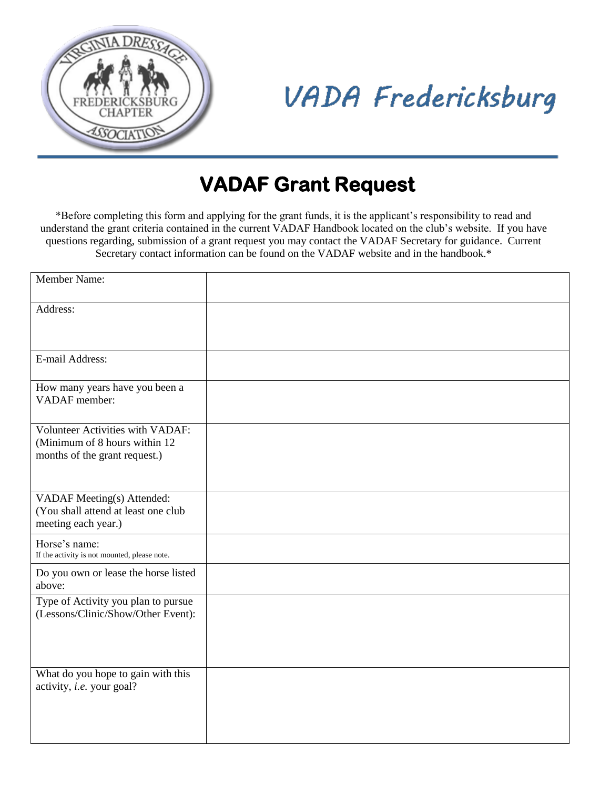

## **VADA Fredericksburg**

## **VADAF Grant Request**

\*Before completing this form and applying for the grant funds, it is the applicant's responsibility to read and understand the grant criteria contained in the current VADAF Handbook located on the club's website. If you have questions regarding, submission of a grant request you may contact the VADAF Secretary for guidance. Current Secretary contact information can be found on the VADAF website and in the handbook.\*

| <b>Member Name:</b>                                                                                        |  |
|------------------------------------------------------------------------------------------------------------|--|
| Address:                                                                                                   |  |
| E-mail Address:                                                                                            |  |
| How many years have you been a<br>VADAF member:                                                            |  |
| <b>Volunteer Activities with VADAF:</b><br>(Minimum of 8 hours within 12)<br>months of the grant request.) |  |
| VADAF Meeting(s) Attended:<br>(You shall attend at least one club<br>meeting each year.)                   |  |
| Horse's name:<br>If the activity is not mounted, please note.                                              |  |
| Do you own or lease the horse listed<br>above:                                                             |  |
| Type of Activity you plan to pursue<br>(Lessons/Clinic/Show/Other Event):                                  |  |
| What do you hope to gain with this<br>activity, i.e. your goal?                                            |  |